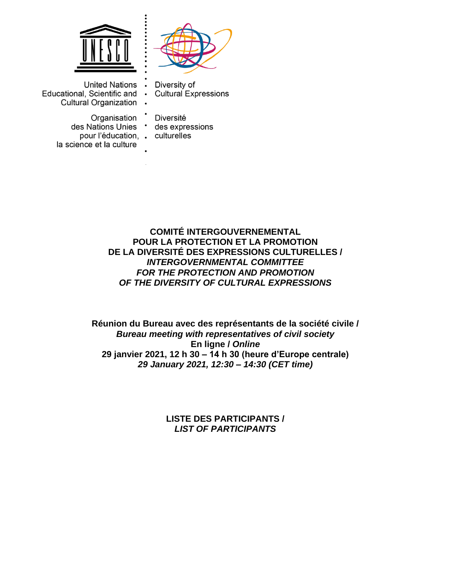



United Nations . Educational, Scientific and • **Cultural Organization** 

> Organisation des Nations Unies \* pour l'éducation. . culturelles la science et la culture

Diversity of **Cultural Expressions** 

Diversité des expressions

**COMITÉ INTERGOUVERNEMENTAL POUR LA PROTECTION ET LA PROMOTION DE LA DIVERSITÉ DES EXPRESSIONS CULTURELLES /**  *INTERGOVERNMENTAL COMMITTEE FOR THE PROTECTION AND PROMOTION OF THE DIVERSITY OF CULTURAL EXPRESSIONS*

**Réunion du Bureau avec des représentants de la société civile /**  *Bureau meeting with representatives of civil society* **En ligne /** *Online* **29 janvier 2021, 12 h 30** *–* **14 h 30 (heure d'Europe centrale)** *29 January 2021, 12:30 – 14:30 (CET time)*

> **LISTE DES PARTICIPANTS /** *LIST OF PARTICIPANTS*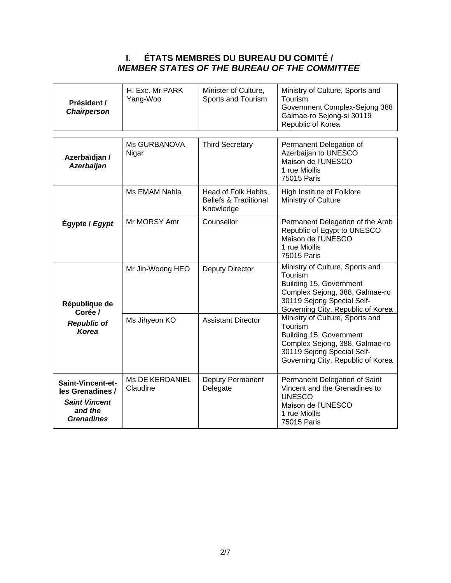## **I. ÉTATS MEMBRES DU BUREAU DU COMITÉ /** *MEMBER STATES OF THE BUREAU OF THE COMMITTEE*

| Président /<br><b>Chairperson</b>                                                             | H. Exc. Mr PARK<br>Yang-Woo        | Minister of Culture,<br>Sports and Tourism                            | Ministry of Culture, Sports and<br>Tourism<br>Government Complex-Sejong 388<br>Galmae-ro Sejong-si 30119<br>Republic of Korea                                              |
|-----------------------------------------------------------------------------------------------|------------------------------------|-----------------------------------------------------------------------|----------------------------------------------------------------------------------------------------------------------------------------------------------------------------|
|                                                                                               |                                    |                                                                       |                                                                                                                                                                            |
| Azerbaïdjan /<br><b>Azerbaijan</b>                                                            | Ms GURBANOVA<br>Nigar              | <b>Third Secretary</b>                                                | Permanent Delegation of<br>Azerbaijan to UNESCO<br>Maison de l'UNESCO<br>1 rue Miollis<br>75015 Paris                                                                      |
|                                                                                               | Ms EMAM Nahla                      | Head of Folk Habits,<br><b>Beliefs &amp; Traditional</b><br>Knowledge | High Institute of Folklore<br>Ministry of Culture                                                                                                                          |
| Égypte / Egypt                                                                                | Mr MORSY Amr                       | Counsellor                                                            | Permanent Delegation of the Arab<br>Republic of Egypt to UNESCO<br>Maison de l'UNESCO<br>1 rue Miollis<br>75015 Paris                                                      |
| République de<br>Corée /                                                                      | Mr Jin-Woong HEO                   | Deputy Director                                                       | Ministry of Culture, Sports and<br>Tourism<br>Building 15, Government<br>Complex Sejong, 388, Galmae-ro<br>30119 Sejong Special Self-<br>Governing City, Republic of Korea |
| <b>Republic of</b><br><b>Korea</b>                                                            | Ms Jihyeon KO                      | <b>Assistant Director</b>                                             | Ministry of Culture, Sports and<br>Tourism<br>Building 15, Government<br>Complex Sejong, 388, Galmae-ro<br>30119 Sejong Special Self-<br>Governing City, Republic of Korea |
| Saint-Vincent-et-<br>les Grenadines /<br><b>Saint Vincent</b><br>and the<br><b>Grenadines</b> | <b>Ms DE KERDANIEL</b><br>Claudine | Deputy Permanent<br>Delegate                                          | Permanent Delegation of Saint<br>Vincent and the Grenadines to<br><b>UNESCO</b><br>Maison de l'UNESCO<br>1 rue Miollis<br>75015 Paris                                      |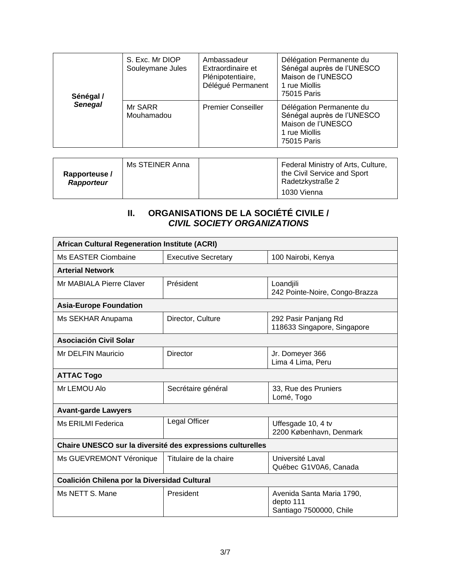| Sénégal /      | S. Exc. Mr DIOP<br>Souleymane Jules | Ambassadeur<br>Extraordinaire et<br>Plénipotentiaire,<br>Délégué Permanent | Délégation Permanente du<br>Sénégal auprès de l'UNESCO<br>Maison de l'UNESCO<br>1 rue Miollis<br>75015 Paris |
|----------------|-------------------------------------|----------------------------------------------------------------------------|--------------------------------------------------------------------------------------------------------------|
| <b>Senegal</b> | Mr SARR<br>Mouhamadou               | <b>Premier Conseiller</b>                                                  | Délégation Permanente du<br>Sénégal auprès de l'UNESCO<br>Maison de l'UNESCO<br>1 rue Miollis<br>75015 Paris |

| Rapporteuse/<br><b>Rapporteur</b> | Ms STEINER Anna | Federal Ministry of Arts, Culture,<br>the Civil Service and Sport<br>Radetzkystraße 2 |
|-----------------------------------|-----------------|---------------------------------------------------------------------------------------|
|                                   |                 | 1030 Vienna                                                                           |

## **II. ORGANISATIONS DE LA SOCIÉTÉ CIVILE /** *CIVIL SOCIETY ORGANIZATIONS*

| <b>African Cultural Regeneration Institute (ACRI)</b>      |                            |                                                                   |  |
|------------------------------------------------------------|----------------------------|-------------------------------------------------------------------|--|
| Ms EASTER Ciombaine                                        | <b>Executive Secretary</b> | 100 Nairobi, Kenya                                                |  |
| <b>Arterial Network</b>                                    |                            |                                                                   |  |
| Mr MABIALA Pierre Claver                                   | Président                  | Loandjili<br>242 Pointe-Noire, Congo-Brazza                       |  |
| <b>Asia-Europe Foundation</b>                              |                            |                                                                   |  |
| Ms SEKHAR Anupama                                          | Director, Culture          | 292 Pasir Panjang Rd<br>118633 Singapore, Singapore               |  |
| <b>Asociación Civil Solar</b>                              |                            |                                                                   |  |
| Mr DELFIN Mauricio                                         | Director                   | Jr. Domeyer 366<br>Lima 4 Lima, Peru                              |  |
| <b>ATTAC Togo</b>                                          |                            |                                                                   |  |
| Mr LEMOU Alo                                               | Secrétaire général         | 33, Rue des Pruniers<br>Lomé, Togo                                |  |
| <b>Avant-garde Lawyers</b>                                 |                            |                                                                   |  |
| Ms ERILMI Federica                                         | Legal Officer              | Uffesgade 10, 4 tv<br>2200 København, Denmark                     |  |
| Chaire UNESCO sur la diversité des expressions culturelles |                            |                                                                   |  |
| Ms GUEVREMONT Véronique                                    | Titulaire de la chaire     | Université Laval<br>Québec G1V0A6, Canada                         |  |
| Coalición Chilena por la Diversidad Cultural               |                            |                                                                   |  |
| Ms NETT S. Mane                                            | President                  | Avenida Santa Maria 1790,<br>depto 111<br>Santiago 7500000, Chile |  |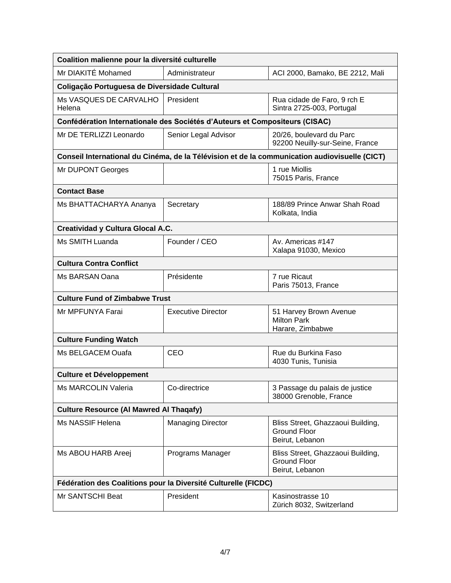| Coalition malienne pour la diversité culturelle                             |                           |                                                                                               |  |
|-----------------------------------------------------------------------------|---------------------------|-----------------------------------------------------------------------------------------------|--|
| Mr DIAKITÉ Mohamed                                                          | Administrateur            | ACI 2000, Bamako, BE 2212, Mali                                                               |  |
| Coligação Portuguesa de Diversidade Cultural                                |                           |                                                                                               |  |
| Ms VASQUES DE CARVALHO<br>Helena                                            | President                 | Rua cidade de Faro, 9 rch E<br>Sintra 2725-003, Portugal                                      |  |
| Confédération Internationale des Sociétés d'Auteurs et Compositeurs (CISAC) |                           |                                                                                               |  |
| Mr DE TERLIZZI Leonardo                                                     | Senior Legal Advisor      | 20/26, boulevard du Parc<br>92200 Neuilly-sur-Seine, France                                   |  |
|                                                                             |                           | Conseil International du Cinéma, de la Télévision et de la communication audiovisuelle (CICT) |  |
| Mr DUPONT Georges                                                           |                           | 1 rue Miollis<br>75015 Paris, France                                                          |  |
| <b>Contact Base</b>                                                         |                           |                                                                                               |  |
| Ms BHATTACHARYA Ananya                                                      | Secretary                 | 188/89 Prince Anwar Shah Road<br>Kolkata, India                                               |  |
| <b>Creatividad y Cultura Glocal A.C.</b>                                    |                           |                                                                                               |  |
| Ms SMITH Luanda                                                             | Founder / CEO             | Av. Americas #147<br>Xalapa 91030, Mexico                                                     |  |
| <b>Cultura Contra Conflict</b>                                              |                           |                                                                                               |  |
| Ms BARSAN Oana                                                              | Présidente                | 7 rue Ricaut<br>Paris 75013, France                                                           |  |
| <b>Culture Fund of Zimbabwe Trust</b>                                       |                           |                                                                                               |  |
| Mr MPFUNYA Farai                                                            | <b>Executive Director</b> | 51 Harvey Brown Avenue<br><b>Milton Park</b><br>Harare, Zimbabwe                              |  |
| <b>Culture Funding Watch</b>                                                |                           |                                                                                               |  |
| Ms BELGACEM Ouafa                                                           | CEO                       | Rue du Burkina Faso<br>4030 Tunis, Tunisia                                                    |  |
| <b>Culture et Développement</b>                                             |                           |                                                                                               |  |
| Ms MARCOLIN Valeria                                                         | Co-directrice             | 3 Passage du palais de justice<br>38000 Grenoble, France                                      |  |
| <b>Culture Resource (AI Mawred AI Thaqafy)</b>                              |                           |                                                                                               |  |
| Ms NASSIF Helena                                                            | <b>Managing Director</b>  | Bliss Street, Ghazzaoui Building,<br><b>Ground Floor</b><br>Beirut, Lebanon                   |  |
| Ms ABOU HARB Areej                                                          | Programs Manager          | Bliss Street, Ghazzaoui Building,<br><b>Ground Floor</b><br>Beirut, Lebanon                   |  |
| Fédération des Coalitions pour la Diversité Culturelle (FICDC)              |                           |                                                                                               |  |
| Mr SANTSCHI Beat                                                            | President                 | Kasinostrasse 10<br>Zürich 8032, Switzerland                                                  |  |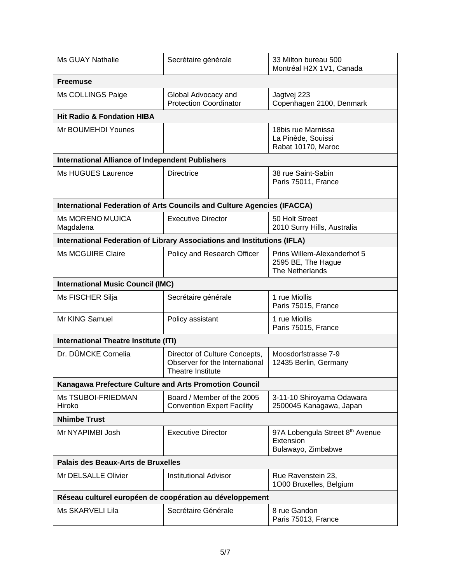| Ms GUAY Nathalie                                         | Secrétaire générale                                                                  | 33 Milton bureau 500<br>Montréal H2X 1V1, Canada                     |  |
|----------------------------------------------------------|--------------------------------------------------------------------------------------|----------------------------------------------------------------------|--|
| <b>Freemuse</b>                                          |                                                                                      |                                                                      |  |
| Ms COLLINGS Paige                                        | Global Advocacy and<br><b>Protection Coordinator</b>                                 | Jagtvej 223<br>Copenhagen 2100, Denmark                              |  |
| <b>Hit Radio &amp; Fondation HIBA</b>                    |                                                                                      |                                                                      |  |
| Mr BOUMEHDI Younes                                       |                                                                                      | 18bis rue Marnissa<br>La Pinède, Souissi<br>Rabat 10170, Maroc       |  |
| <b>International Alliance of Independent Publishers</b>  |                                                                                      |                                                                      |  |
| Ms HUGUES Laurence                                       | <b>Directrice</b>                                                                    | 38 rue Saint-Sabin<br>Paris 75011, France                            |  |
|                                                          | International Federation of Arts Councils and Culture Agencies (IFACCA)              |                                                                      |  |
| <b>Ms MORENO MUJICA</b><br>Magdalena                     | <b>Executive Director</b>                                                            | 50 Holt Street<br>2010 Surry Hills, Australia                        |  |
|                                                          | International Federation of Library Associations and Institutions (IFLA)             |                                                                      |  |
| <b>Ms MCGUIRE Claire</b>                                 | Policy and Research Officer                                                          | Prins Willem-Alexanderhof 5<br>2595 BE, The Hague<br>The Netherlands |  |
| <b>International Music Council (IMC)</b>                 |                                                                                      |                                                                      |  |
| Ms FISCHER Silja                                         | Secrétaire générale                                                                  | 1 rue Miollis<br>Paris 75015, France                                 |  |
| Mr KING Samuel                                           | Policy assistant                                                                     | 1 rue Miollis<br>Paris 75015, France                                 |  |
| <b>International Theatre Institute (ITI)</b>             |                                                                                      |                                                                      |  |
| Dr. DÜMCKE Cornelia                                      | Director of Culture Concepts,<br>Observer for the International<br>Theatre Institute | Moosdorfstrasse 7-9<br>12435 Berlin, Germany                         |  |
| Kanagawa Prefecture Culture and Arts Promotion Council   |                                                                                      |                                                                      |  |
| Ms TSUBOI-FRIEDMAN<br>Hiroko                             | Board / Member of the 2005<br><b>Convention Expert Facility</b>                      | 3-11-10 Shiroyama Odawara<br>2500045 Kanagawa, Japan                 |  |
| <b>Nhimbe Trust</b>                                      |                                                                                      |                                                                      |  |
| Mr NYAPIMBI Josh                                         | <b>Executive Director</b>                                                            | 97A Lobengula Street 8th Avenue<br>Extension<br>Bulawayo, Zimbabwe   |  |
| Palais des Beaux-Arts de Bruxelles                       |                                                                                      |                                                                      |  |
| Mr DELSALLE Olivier                                      | <b>Institutional Advisor</b>                                                         | Rue Ravenstein 23,<br>1000 Bruxelles, Belgium                        |  |
| Réseau culturel européen de coopération au développement |                                                                                      |                                                                      |  |
| Ms SKARVELI Lila                                         | Secrétaire Générale                                                                  | 8 rue Gandon<br>Paris 75013, France                                  |  |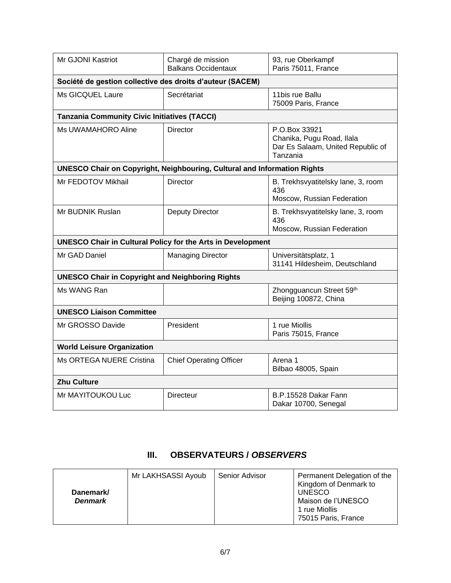| Mr GJONI Kastriot                                                               | Chargé de mission<br><b>Balkans Occidentaux</b> | 93, rue Oberkampf<br>Paris 75011, France                                                    |  |
|---------------------------------------------------------------------------------|-------------------------------------------------|---------------------------------------------------------------------------------------------|--|
| Société de gestion collective des droits d'auteur (SACEM)                       |                                                 |                                                                                             |  |
| Ms GICQUEL Laure                                                                | Secrétariat                                     | 11bis rue Ballu<br>75009 Paris, France                                                      |  |
| <b>Tanzania Community Civic Initiatives (TACCI)</b>                             |                                                 |                                                                                             |  |
| Ms UWAMAHORO Aline                                                              | <b>Director</b>                                 | P.O.Box 33921<br>Chanika, Pugu Road, Ilala<br>Dar Es Salaam, United Republic of<br>Tanzania |  |
| <b>UNESCO Chair on Copyright, Neighbouring, Cultural and Information Rights</b> |                                                 |                                                                                             |  |
| Mr FEDOTOV Mikhail                                                              | Director                                        | B. Trekhsvyatitelsky lane, 3, room<br>436<br>Moscow, Russian Federation                     |  |
| Mr BUDNIK Ruslan                                                                | <b>Deputy Director</b>                          | B. Trekhsvyatitelsky lane, 3, room<br>436<br>Moscow, Russian Federation                     |  |
| <b>UNESCO Chair in Cultural Policy for the Arts in Development</b>              |                                                 |                                                                                             |  |
| Mr GAD Daniel                                                                   | <b>Managing Director</b>                        | Universitätsplatz, 1<br>31141 Hildesheim, Deutschland                                       |  |
| <b>UNESCO Chair in Copyright and Neighboring Rights</b>                         |                                                 |                                                                                             |  |
| Ms WANG Ran                                                                     |                                                 | Zhongguancun Street 59th<br>Beijing 100872, China                                           |  |
| <b>UNESCO Liaison Committee</b>                                                 |                                                 |                                                                                             |  |
| Mr GROSSO Davide                                                                | President                                       | 1 rue Miollis<br>Paris 75015, France                                                        |  |
| <b>World Leisure Organization</b>                                               |                                                 |                                                                                             |  |
| Ms ORTEGA NUERE Cristina                                                        | <b>Chief Operating Officer</b>                  | Arena 1<br>Bilbao 48005, Spain                                                              |  |
| <b>Zhu Culture</b>                                                              |                                                 |                                                                                             |  |
| Mr MAYITOUKOU Luc                                                               | <b>Directeur</b>                                | B.P.15528 Dakar Fann<br>Dakar 10700, Senegal                                                |  |

## **III. OBSERVATEURS /** *OBSERVERS*

| Danemark/<br><b>Denmark</b> | Mr LAKHSASSI Ayoub | Senior Advisor | Permanent Delegation of the<br>Kingdom of Denmark to<br><b>UNESCO</b><br>Maison de l'UNESCO<br>1 rue Miollis<br>75015 Paris, France |
|-----------------------------|--------------------|----------------|-------------------------------------------------------------------------------------------------------------------------------------|
|-----------------------------|--------------------|----------------|-------------------------------------------------------------------------------------------------------------------------------------|